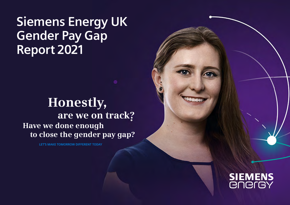## **Siemens Energy UK Gender Pay Gap Report 2021**

## **Honestly, are we on track? Have we done enough to close the gender pay gap?**

**LET'S MAKE TOMORROW DIFFERENT TODAY**

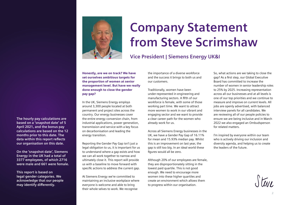

## **Company Statement from Steve Scrimshaw**

### **Vice President | Siemens Energy UK&I**

Honestly, are we on track? We have set ourselves ambitious targets for the proportion of women at senior management level. But have we really done enough to close the gender pay gap?

In the UK, Siemens Energy employs around 3,300 people located at both permanent and project sites across the country. Our energy businesses cover the entire energy conversion chain, from industrial applications, power generation, transmission and service with a key focus on decarbonisation and leading the energy transition.

Reporting the Gender Pay Gap isn't just a legal obligation to us, it is important for us to understand where a gap exists and how we can all work together to narrow and ultimately close it. This report will provide us with a baseline to move forward with specific actions to address the current gap.

At Siemens Energy we're committed to maintaining an inclusive workplace where everyone is welcome and able to bring their whole selves to work. We recognise

the importance of a diverse workforce and the success it brings to both us and our customers.

Traditionally, women have been under-represented in engineering and manufacturing sectors. A fifth of our workforce is female, with some of those working part time. We want to attract more women to work in our vibrant and engaging sector and we want to provide a clear career path for the women who already work for us.

Across all Siemens Energy businesses in the UK, we have a Gender Pay Gap of 16.11% for mean and 15.93% median pay. Whilst this is an improvement on last year, the gap is still too big. In an ideal world these figures would all be zero.

Although 20% of our employees are female, they are disproportionately sitting in the lowest paid quartile. This is not good enough. We need to encourage more women into these higher quartiles and create an environment which allows them to progress within our organisation.

So, what actions are we taking to close the gap? As a first step, our Global Executive Board has committed to increase the number of women in senior leadership roles to 25% by 2025. Increasing representation across all our businesses and at all levels is one of our top priorities and we continue to measure and improve on current levels. All jobs are openly advertised, with balanced interview panels for all candidates. We are reviewing all of our people policies to ensure we are being inclusive and in March 2022 we also engaged an Ombudsperson for related matters.

I'm inspired by everyone within our team who is actively driving our inclusion and diversity agenda, and helping us to create the leaders of the future.

**The hourly pay calculations are based on a 'snapshot date' of 5 April 2021, and the bonus pay calculations are based on the 12 months prior to this date. The data within this report reflects our organisation on this date.** 

**On the 'snapshot date', Siemens Energy in the UK had a total of 3377 employees, of which 2716 were male and 661 were female.** 

**This report is based on legal gender categories. We acknowledge that our people may identify differently.**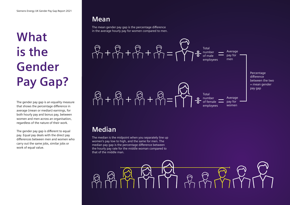# **What is the Gender Pay Gap?**

The gender pay gap is an equality measure that shows the percentage difference in average (mean or median) earnings, for both hourly pay and bonus pay, between women and men across an organisation, regardless of the nature of their work.

The gender pay gap is different to equal pay. Equal pay deals with the direct pay differences between men and women who carry out the same jobs, similar jobs or work of equal value.

### **Mean**

The mean gender pay gap is the percentage difference in the average hourly pay for women compared to men.



### **Median**

The median is the midpoint when you separately line up women's pay low to high, and the same for men. The median pay gap is the percentage difference between the hourly pay rate for the middle woman compared to that of the middle man.

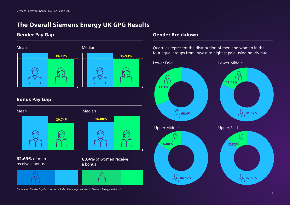### The Overall Siemens Energy UK GPG Results

### Gender Pay Gap





62.69% of men receive a bonus





63.4% of women receive a bonus



### Gender Breakdown

four equal groups from lowest to highest paid using hourly rate



*Our overall Gender Pay Gap results include all our legal entities in Siemens Energy in the UK.*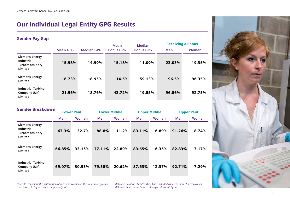### Our Individual Legal Entity GPG Results

### Gender Pay Gap

|                                                                  |                 |        | <b>Median</b><br>Mean |                  | <b>Receiving a Bonus</b> |        |  |
|------------------------------------------------------------------|-----------------|--------|-----------------------|------------------|--------------------------|--------|--|
|                                                                  | <b>Mean GPG</b> |        | <b>Bonus GPG</b>      | <b>Bonus GPG</b> | <b>Men</b>               | Women  |  |
| <b>Siemens Energy</b><br>Industrial<br>Turbomachinery<br>Limited | 15.98%          | 14.99% | 15.18%                | 11.09%           | 23.03%                   | 19.35% |  |
| <b>Siemens Energy</b><br>Limited                                 | 16.73%          | 18.95% | 14.5%                 | $-59.13%$        | 96.5%                    | 96.35% |  |
| <b>Industrial Turbine</b><br>Company (UK)<br>Limited             | 21.96%          | 18.76% | 43.72%                | 19.85%           | 96.86%                   | 92.75% |  |

| <b>Gender Breakdown</b>                                                 |        | <b>Lower Paid</b> |        | <b>Lower Middle</b> |        | <b>Upper Middle</b> |        | <b>Upper Paid</b> |  |
|-------------------------------------------------------------------------|--------|-------------------|--------|---------------------|--------|---------------------|--------|-------------------|--|
|                                                                         | Men    | Women             | Men    | Women               | Men    | Women               | Men    | Women             |  |
| <b>Siemens Energy</b><br><b>Industrial</b><br>Turbomachinery<br>Limited | 67.3%  | 32.7%             | 88.8%  | 11.2%               | 83.11% | 16.89%              | 91.26% | 8.74%             |  |
| <b>Siemens Energy</b><br>Limited                                        | 66.85% | 33.15%            | 77.11% | 22.89%              | 83.65% | 16.35%              | 82.83% | 17.17%            |  |
| <b>Industrial Turbine</b><br>Company (UK)<br>Limited                    | 69.07% | 30.93%            | 79.38% | 20.62%              | 87.63% | 12.37%              | 92.71% | 7.29%             |  |

*Quartiles represent the distribution of men and women in the four equal groups from lowest to highest paid using hourly rate.* 

*Materials Solutions Limited (MSL) not included as fewer than 250 employees. MSL is included in the Siemens Energy UK overall figures.*

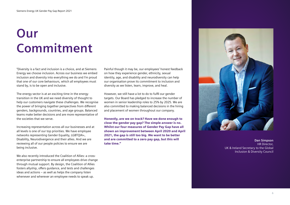# **Our Commitment**

"Diversity is a fact and inclusion is a choice, and at Siemens Energy we choose inclusion. Across our business we embed inclusion and diversity into everything we do and I'm proud that one of our core behaviours, which all employees must stand by, is to be open and inclusive.

The energy sector is at an exciting time in the energy transition in the UK and we need diversity of thought to help our customers navigate these challenges. We recognise the power of bringing together perspectives from different genders, backgrounds, countries, and age groups. Balanced teams make better decisions and are more representative of the societies that we serve.

Increasing representation across all our businesses and at all levels is one of our top priorities. We have employee networks representing Gender Equality, LGBTQIA+, Disability, Neurodivergence and their allies. And we are reviewing all of our people policies to ensure we are being inclusive.

We also recently introduced the Coalition of Allies: a crossenterprise partnership to ensure all employees drive change through mutual support. By design, the Coalition of Allies fosters allyship, offers guidance, and tests and challenges ideas and actions – as well as helps the company listen whenever and wherever an employee needs to speak up.

Painful though it may be, our employees' honest feedback on how they experience gender, ethnicity, sexual identity, age, and disability and neurodiversity can help our organisation prove its commitment to inclusion and diversity as we listen, learn, improve, and heal.

However, we still have a lot to do to fulfil our gender targets. Our Board has pledged to increase the number of women in senior leadership roles to 25% by 2025. We are also committed to making balanced decisions in the hiring and placement of women throughout our company.

Honestly, are we on track? Have we done enough to close the gender pay gap? The simple answer is no. Whilst our four measures of Gender Pay Gap have all shown an improvement between April 2020 and April 2021, the gap is still too big. We want to be better and are committed to a zero pay gap, but this will take time."



**Dan Simpson** HR Director, UK & Ireland Secretary to the Global Inclusion & Diversity Council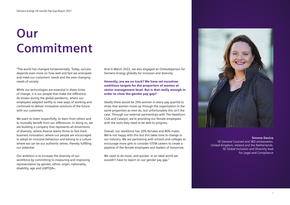# **Our Commitment**

"The world has changed fundamentally. Today, success depends even more on how well and fast we anticipate and meet our customers' needs and the ever-changing needs of society.

While our technologies are essential in these times of change, it is our people that make the difference. As shown during the global pandemic, where our employees adapted swiftly to new ways of working and continued to deliver innovative solutions of the future with our customers.

We want to listen respectfully, to learn from others and to mutually benefit from our differences. In doing so, we are building a company that represents all dimensions of diversity; where diverse teams thrive to fast-track business innovation; where our people are encouraged to adopt an inclusive behaviour and belong to a culture where we can be our authentic selves, thereby fulfilling our potential.

Our ambition is to increase the diversity of our workforce by committing to measuring and improving representation by gender, ethnic origin, nationality, disability, age and LGBTQIA+.

And in March 2022, we also engaged an Ombudsperson for Siemens Energy globally for inclusion and diversity.

Honestly, are we on track? We have set ourselves ambitious targets for the proportion of women at senior management level. But is that really enough in order to close the gender pay gap?

Ideally there would be 20% women in every pay quartile to show that women move up through the organisation in the same proportion as men do, but unfortunately this isn't the case. Through our external partnerships with The Hawthorn Club and Catalyst, we're providing our female employees with the tools they need to be able to progress.

Overall, our workforce has 20% females and 80% males. We're not happy with this but this takes time to change in our industry. We are partnering with schools and colleges to encourage more girls to consider STEM careers to create a pipeline of the female employees and leaders of tomorrow.

We need to do more, and quicker. In an ideal world we wouldn't have to report on our gender pay gap."



#### **Simone Davina**

SE General Counsel and I&D ambassador, United Kingdom, Ireland and the Netherlands. SE Global Inclusion and Diversity lead for Legal and Compliance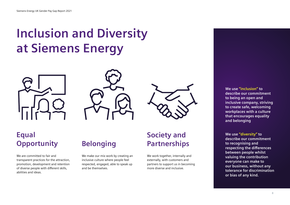## **Inclusion and Diversity at Siemens Energy**







## **Equal Opportunity**

We are committed to fair and transparent practices for the attraction, promotion, development and retention of diverse people with different skills, abilities and ideas.

## **Belonging**

We make our mix work by creating an inclusive culture where people feel respected, engaged, able to speak up and be themselves.

### **Society and Partnerships**

We work together, internally and externally, with customers and partners to support us in becoming more diverse and inclusive.

**We use "inclusion" to describe our commitment to being an open and inclusive company, striving to create safe, welcoming workplaces with a culture that encourages equality and belonging**

**We use "diversity" to describe our commitment to recognising and respecting the differences between people whilst valuing the contribution everyone can make to our business, without any tolerance for discrimination or bias of any kind.**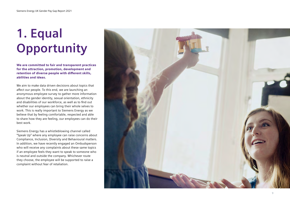# **1. Equal Opportunity**

We are committed to fair and transparent practices for the attraction, promotion, development and retention of diverse people with different skills, abilities and ideas.

We aim to make data driven decisions about topics that affect our people. To this end, we are launching an anonymous employee survey to gather more information about the gender identity, sexual orientation, ethnicity and disabilities of our workforce, as well as to find out whether our employees can bring their whole selves to work. This is really important to Siemens Energy as we believe that by feeling comfortable, respected and able to share how they are feeling, our employees can do their best work.

Siemens Energy has a whistleblowing channel called "Speak Up" where any employee can raise concerns about Compliance, Inclusion, Diversity and Behavioural matters. In addition, we have recently engaged an Ombudsperson who will receive any complaints about these same topics if an employee feels they want to speak to someone who is neutral and outside the company. Whichever route they choose, the employee will be supported to raise a complaint without fear of retaliation.

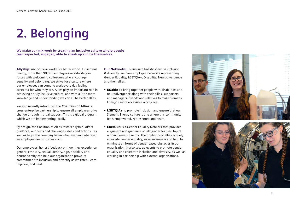# **2. Belonging**

We make our mix work by creating an inclusive culture where people feel respected, engaged, able to speak up and be themselves.

Allyship: An inclusive world is a better world. In Siemens Energy, more than 90,000 employees worldwide join forces with welcoming colleagues who encourage equality and belonging. We strive for a culture where our employees can come to work every day feeling accepted for who they are. Allies play an important role in achieving a truly inclusive culture, and with a little more knowledge and understanding we can all be better allies.

We also recently introduced the **Coalition of Allies**: a cross-enterprise partnership to ensure all employees drive change through mutual support. This is a global program, which we are implementing locally.

By design, the Coalition of Allies fosters allyship, offers guidance, and tests and challenges ideas and actions—as well as helps the company listen whenever and wherever an employee needs to speak out.

Our employees' honest feedback on how they experience gender, ethnicity, sexual identity, age, disability and neurodiversity can help our organisation prove its commitment to inclusion and diversity as we listen, learn, improve, and heal.

Our Networks: To ensure a holistic view on inclusion & diversity, we have employee networks representing Gender Equality, LGBTQIA+, Disability, Neurodivergence and their allies.

- ENable To bring together people with disabilities and neurodivergence along with their allies, supporters and managers, friends and relatives to make Siemens Energy a more accessible workplace.
- LGBTQIA+ to promote inclusion and ensure that our Siemens Energy culture is one where this community feels empowered, represented and heard.
- EnerGEN is a Gender Equality Network that provides alignment and guidance on all gender focused topics within Siemens Energy. Their network of allies actively advocate gender equality, raise awareness and help to eliminate all forms of gender based obstacles in our organisation. It also sets up events to promote gender equality and celebrate inclusion and diversity, as well as working in partnership with external organisations.



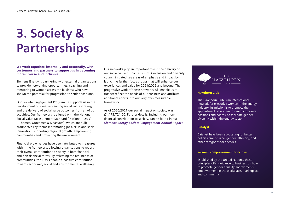# **3. Society & Partnerships**

We work together, internally and externally, with customers and partners to support us in becoming more diverse and inclusive.

Siemens Energy is partnering with external organisations to provide networking opportunities, coaching and mentoring to women across the business who have shown the potential for progression to senior positions.

Our Societal Engagement Programme supports us in the development of a market-leading social value strategy and the delivery of social value outcomes from all of our activities. Our framework is aligned with the National Social Value Measurement Standard ('National TOMs' – Themes, Outcomes & Measures), which are built around five key themes; promoting jobs, skills and social innovation, supporting regional growth, empowering communities and protecting the environment.

Financial proxy values have been attributed to measures within the framework, allowing organisations to report their overall contribution to society in both financial and non-financial terms. By reflecting the real needs of communities, the TOMs enable a positive contribution towards economic, social and environmental wellbeing.

Our networks play an important role in the delivery of our social value outcomes. Our UK inclusion and diversity council initiated key areas of emphasis and impact by launching further focus groups that will enhance our experiences and value for 2021/2022 and beyond. The progressive work of these networks will enable us to further reflect the needs of our business and attribute additional efforts into our very own measurable framework.

As of 2020/2021 our social impact on society was £1,173,721.00. Further details, including our nonfinancial contribution to society, can be found in our *[Siemens Energy Societal Engagement Annual Report.](https://assets.siemens-energy.com/siemens/assets/api/uuid:0770867c-4ff3-4f42-a0cb-80a67d527132/se-uk-csr-programme.pdf)*



#### **Hawthorn Club**

The Hawthorn Club is an international network for executive women in the energy industry. Its mission is to promote the appointment of women to senior corporate positions and boards; to facilitate gender diversity within the energy sector.

#### **Catalyst**

Catalyst have been advocating for better policies around race, gender, ethnicity, and other categories for decades.

#### **Women's Empowerment Principles**

Established by the United Nations, these principles offer guidance to business on how to promote gender equality and women's empowerment in the workplace, marketplace and community.